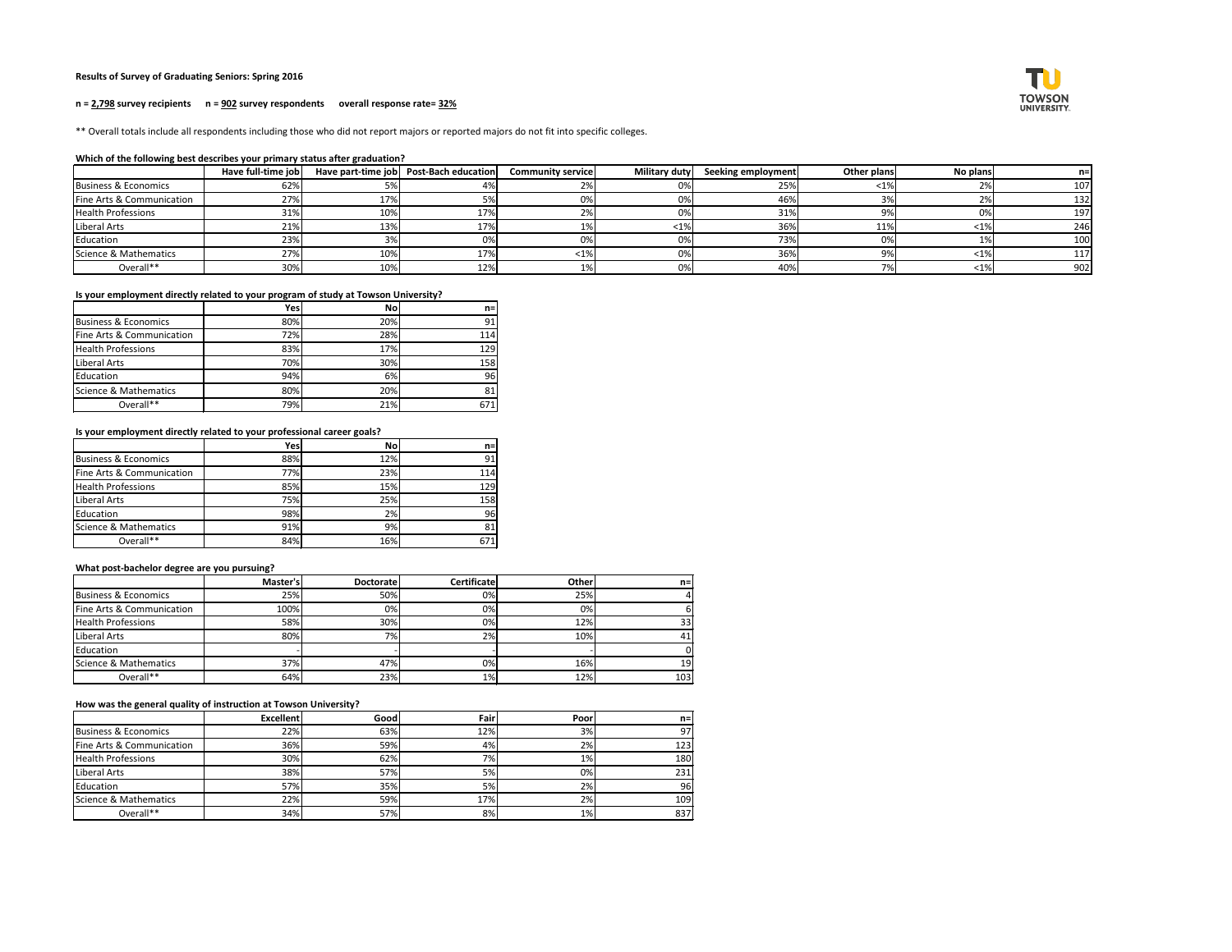# **Results of Survey of Graduating Seniors: Spring 2016**

# **n = 2,798 survey recipients n = 902 survey respondents overall response rate= 32%**

\*\* Overall totals include all respondents including those who did not report majors or reported majors do not fit into specific colleges.

#### **Which of the following best describes your primary status after graduation?**

|                                 | Have full-time job |     | Have part-time job   Post-Bach education | <b>Community service</b> | Military duty | Seeking employment | Other plans | No plans |     |
|---------------------------------|--------------------|-----|------------------------------------------|--------------------------|---------------|--------------------|-------------|----------|-----|
| <b>Business &amp; Economics</b> | 62%                |     |                                          |                          | $0\%$         | 25%                |             |          | 107 |
| Fine Arts & Communication       | 27%                | 17% | 5%                                       | 0%                       | 0%            | 46%                |             |          | 132 |
| <b>Health Professions</b>       | 31%                | 10% | 17%                                      |                          | 0%            | 31%                |             |          | 197 |
| Liberal Arts                    | 21%                | 13% | 17%                                      |                          | $< 1\%$       | 36%                | 11%         | <1°      | 246 |
| Education                       | 23%                |     | 0%                                       |                          | 0%            | 73%                |             |          | 100 |
| Science & Mathematics           | 27%                | 10% | 17%                                      | <1%                      | 0%            | 36%                | c.          | <1%      | 117 |
| Overall**                       | 30%                | 10% | 12%                                      |                          | 0%            | 40%                |             |          | 902 |

#### **Is your employment directly related to your program of study at Towson University?**

|                                 | Yes | <b>No</b> | $n=$ |
|---------------------------------|-----|-----------|------|
| <b>Business &amp; Economics</b> | 80% | 20%       | 91   |
| Fine Arts & Communication       | 72% | 28%       | 114  |
| <b>Health Professions</b>       | 83% | 17%       | 129  |
| Liberal Arts                    | 70% | 30%       | 158  |
| Education                       | 94% | 6%        | 96   |
| Science & Mathematics           | 80% | 20%       | 81   |
| Overall**                       | 79% | 21%       | 671  |

**Is your employment directly related to your professional career goals?**

|                                 | Yes        | <b>No</b> | $n =$ |
|---------------------------------|------------|-----------|-------|
| <b>Business &amp; Economics</b> | 88%        | 12%       | 91    |
| Fine Arts & Communication       | 77%        | 23%       | 114   |
| <b>Health Professions</b>       | 85%        | 15%       | 129   |
| Liberal Arts                    | <b>75%</b> | 25%       | 158   |
| Education                       | 98%        | 2%        | 96    |
| Science & Mathematics           | 91%        | 9%        | 81    |
| Overall**                       | 84%        | 16%       | 671   |

#### **What post-bachelor degree are you pursuing?**

|                           | Master's | <b>Doctoratel</b> | <b>Certificate</b> | <b>Other</b> | $n=1$ |
|---------------------------|----------|-------------------|--------------------|--------------|-------|
| Business & Economics      | 25%      | 50%               | $0\%$              | 25%          |       |
| Fine Arts & Communication | 100%     | 0%                | 0%                 | 0%           |       |
| <b>Health Professions</b> | 58%      | 30%               | 0%                 | 12%          | 33    |
| Liberal Arts              | 80%      | 7%                | 2%                 | 10%          | 41    |
| Education                 |          |                   |                    |              |       |
| Science & Mathematics     | 37%      | 47%               | 0%                 | 16%          | 19    |
| Overall**                 | 64%      | 23%               | 1%                 | 12%          | 103   |

**How was the general quality of instruction at Towson University?**

|                           | <b>Excellent</b> | Good | Fairl | Poorl | $n=$ |
|---------------------------|------------------|------|-------|-------|------|
| Business & Economics      | 22%              | 63%  | 12%   | 3%    | 97   |
| Fine Arts & Communication | 36%              | 59%  | 4%    | 2%    | 123  |
| <b>Health Professions</b> | 30%              | 62%  | 7%    | $1\%$ | 180  |
| Liberal Arts              | 38%              | 57%  | 5%    | 0%    | 231  |
| Education                 | 57%              | 35%  | 5%    | 2%    | 96   |
| Science & Mathematics     | 22%              | 59%  | 17%   | 2%    | 109  |
| Overall**                 | 34%              | 57%  | 8%    | $1\%$ | 837  |

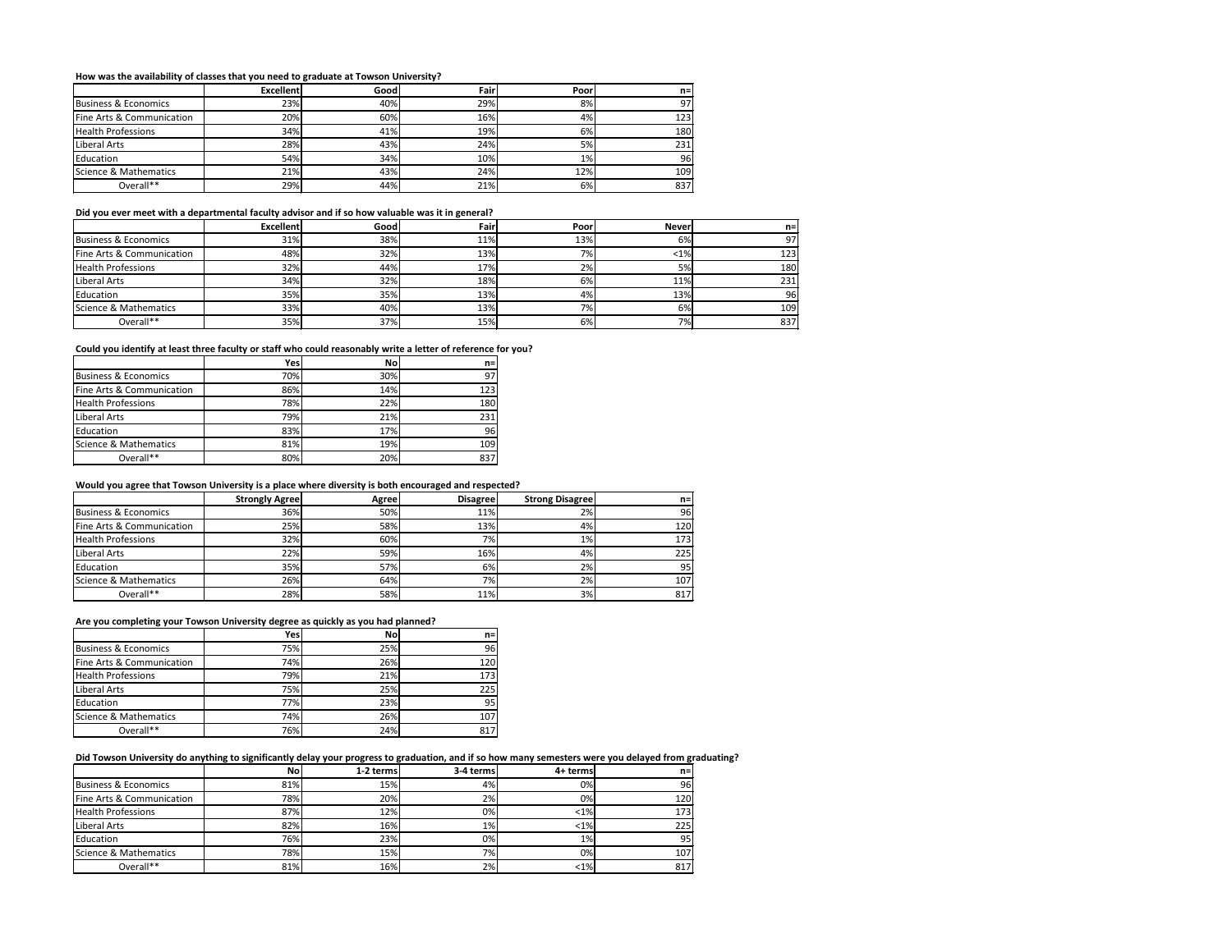# **How was the availability of classes that you need to graduate at Towson University?**

|                           | <b>Excellent</b> | Good | Fair | Poor  | $n =$ |
|---------------------------|------------------|------|------|-------|-------|
| Business & Economics      | 23%              | 40%  | 29%  | 8%    | 97    |
| Fine Arts & Communication | 20%              | 60%  | 16%  | 4%    | 123   |
| <b>Health Professions</b> | 34%              | 41%  | 19%  | 6%    | 180   |
| Liberal Arts              | 28%              | 43%  | 24%  | 5%    | 231   |
| Education                 | 54%              | 34%  | 10%  | $1\%$ | 96    |
| Science & Mathematics     | 21%              | 43%  | 24%  | 12%   | 109   |
| Overall**                 | 29%              | 44%  | 21%  | 6%    | 837   |

#### **Did you ever meet with a departmental faculty advisor and if so how valuable was it in general?**

|                           | <b>Excellent</b> | Good | Fair | Poor | <b>Never</b> | n=l |
|---------------------------|------------------|------|------|------|--------------|-----|
| Business & Economics      | 31%              | 38%  | 11%  | 13%  | 6%           | 97I |
| Fine Arts & Communication | 48%              | 32%  | 13%  | 7%   | $<$ 1% $ $   | 123 |
| <b>Health Professions</b> | 32%              | 44%  | 17%  | 2%   | 5%           | 180 |
| Liberal Arts              | 34%              | 32%  | 18%  | 6%   | 11%          | 231 |
| Education                 | 35%              | 35%  | 13%  | 4%   | 13%          | 96  |
| Science & Mathematics     | 33%              | 40%  | 13%  | 7%   | 6%           | 109 |
| Overall**                 | 35%              | 37%  | 15%  | 6%   | 7%I          | 837 |

# **Could you identify at least three faculty or staff who could reasonably write a letter of reference for you?**

|                           | Yes | <b>No</b> | n=  |
|---------------------------|-----|-----------|-----|
| Business & Economics      | 70% | 30%       | 97  |
| Fine Arts & Communication | 86% | 14%       | 123 |
| <b>Health Professions</b> | 78% | 22%       | 180 |
| Liberal Arts              | 79% | 21%       | 231 |
| Education                 | 83% | 17%       | 96  |
| Science & Mathematics     | 81% | 19%       | 109 |
| Overall**                 | 80% | 20%       | 837 |

#### **Would you agree that Towson University is a place where diversity is both encouraged and respected?**

|                           | <b>Strongly Agree</b> | Agree | <b>Disagree</b> | <b>Strong Disagree</b> | $n =$ |
|---------------------------|-----------------------|-------|-----------------|------------------------|-------|
| Business & Economics      | 36%                   | 50%   | 11%             | 2%                     | 96    |
| Fine Arts & Communication | 25%                   | 58%   | 13%             | 4%                     | 120   |
| <b>Health Professions</b> | 32%                   | 60%   | 7%              | 1%                     | 173   |
| Liberal Arts              | 22%                   | 59%   | 16%             | 4%                     | 225   |
| Education                 | 35%                   | 57%   | 6%              | 2%                     | 95    |
| Science & Mathematics     | 26%                   | 64%   | 7%              | 2%                     | 107   |
| Overall**                 | 28%                   | 58%   | 11%             | 3%                     | 817   |

# **Are you completing your Towson University degree as quickly as you had planned?**

|                                 | Yes | <b>No</b> | $n=1$ |
|---------------------------------|-----|-----------|-------|
| <b>Business &amp; Economics</b> | 75% | 25%       | 96    |
| Fine Arts & Communication       | 74% | 26%       | 120   |
| <b>Health Professions</b>       | 79% | 21%       | 173   |
| Liberal Arts                    | 75% | 25%       | 225   |
| Education                       | 77% | 23%       | 95    |
| Science & Mathematics           | 74% | 26%       | 107   |
| Overall**                       | 76% | 24%       | 817   |

# **Did Towson University do anything to significantly delay your progress to graduation, and if so how many semesters were you delayed from graduating?**

| 81% | 15% | 4% |          |     |
|-----|-----|----|----------|-----|
|     |     |    | 0%       | 96  |
| 78% | 20% | 2% | 0%       | 120 |
| 87% | 12% | 0% | $< 1\%$  | 173 |
| 82% | 16% |    | $< 1\%$  | 225 |
| 76% | 23% | 0% | 1%       | 95  |
| 78% | 15% |    | 0%       | 107 |
| 81% | 16% | 2% | $< 1\%$  | 817 |
|     |     |    | 1%<br>7% |     |